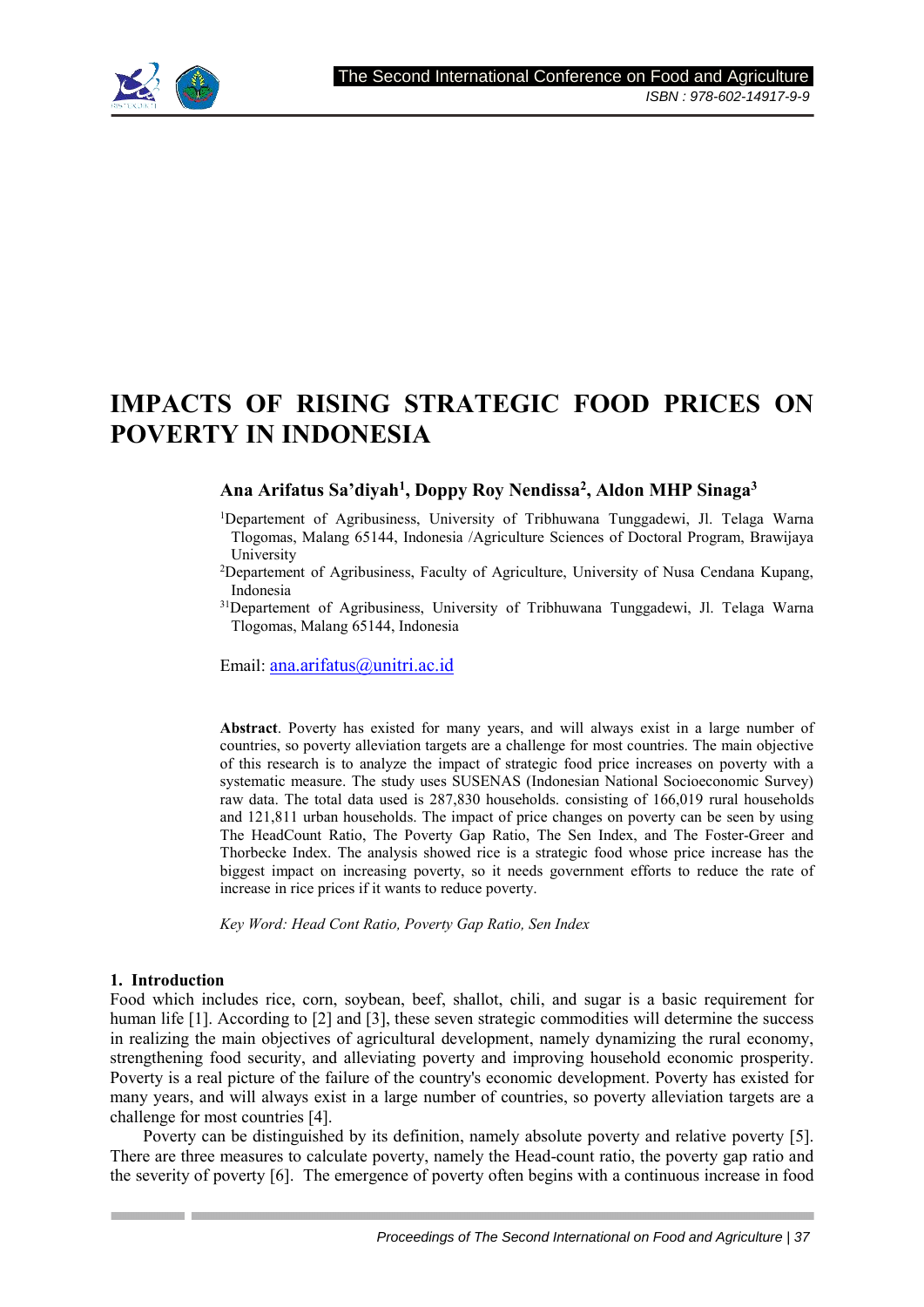

# **IMPACTS OF RISING STRATEGIC FOOD PRICES ON POVERTY IN INDONESIA**

# **Ana Arifatus Sa'diyah<sup>1</sup> , Doppy Roy Nendissa<sup>2</sup> , Aldon MHP Sinaga<sup>3</sup>**

- <sup>1</sup>Departement of Agribusiness, University of Tribhuwana Tunggadewi, Jl. Telaga Warna Tlogomas, Malang 65144, Indonesia /Agriculture Sciences of Doctoral Program, Brawijaya University
- <sup>2</sup>Departement of Agribusiness, Faculty of Agriculture, University of Nusa Cendana Kupang, Indonesia
- <sup>31</sup>Departement of Agribusiness, University of Tribhuwana Tunggadewi, Jl. Telaga Warna Tlogomas, Malang 65144, Indonesia

Email: ana.arifatus@unitri.ac.id

**Abstract**. Poverty has existed for many years, and will always exist in a large number of countries, so poverty alleviation targets are a challenge for most countries. The main objective of this research is to analyze the impact of strategic food price increases on poverty with a systematic measure. The study uses SUSENAS (Indonesian National Socioeconomic Survey) raw data. The total data used is 287,830 households. consisting of 166,019 rural households and 121,811 urban households. The impact of price changes on poverty can be seen by using The HeadCount Ratio, The Poverty Gap Ratio, The Sen Index, and The Foster-Greer and Thorbecke Index. The analysis showed rice is a strategic food whose price increase has the biggest impact on increasing poverty, so it needs government efforts to reduce the rate of increase in rice prices if it wants to reduce poverty.

*Key Word: Head Cont Ratio, Poverty Gap Ratio, Sen Index* 

#### **1. Introduction**

Food which includes rice, corn, soybean, beef, shallot, chili, and sugar is a basic requirement for human life [1]. According to [2] and [3], these seven strategic commodities will determine the success in realizing the main objectives of agricultural development, namely dynamizing the rural economy, strengthening food security, and alleviating poverty and improving household economic prosperity. Poverty is a real picture of the failure of the country's economic development. Poverty has existed for many years, and will always exist in a large number of countries, so poverty alleviation targets are a challenge for most countries [4].

Poverty can be distinguished by its definition, namely absolute poverty and relative poverty [5]. There are three measures to calculate poverty, namely the Head-count ratio, the poverty gap ratio and the severity of poverty [6]. The emergence of poverty often begins with a continuous increase in food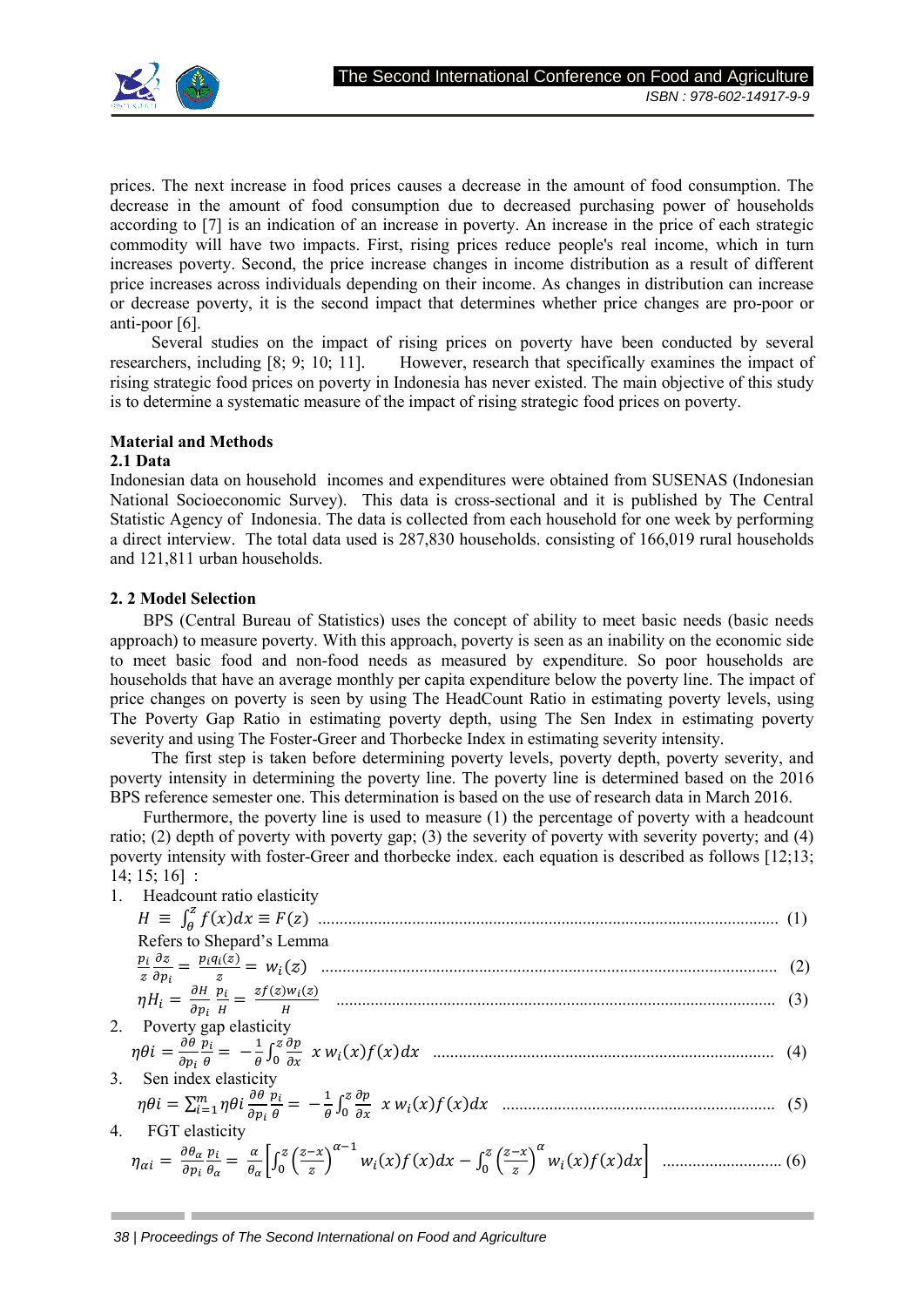

prices. The next increase in food prices causes a decrease in the amount of food consumption. The decrease in the amount of food consumption due to decreased purchasing power of households according to [7] is an indication of an increase in poverty. An increase in the price of each strategic commodity will have two impacts. First, rising prices reduce people's real income, which in turn increases poverty. Second, the price increase changes in income distribution as a result of different price increases across individuals depending on their income. As changes in distribution can increase or decrease poverty, it is the second impact that determines whether price changes are pro-poor or anti-poor [6].

 Several studies on the impact of rising prices on poverty have been conducted by several researchers, including [8; 9; 10; 11]. However, research that specifically examines the impact of rising strategic food prices on poverty in Indonesia has never existed. The main objective of this study is to determine a systematic measure of the impact of rising strategic food prices on poverty.

# **Material and Methods**

### **2.1 Data**

Indonesian data on household incomes and expenditures were obtained from SUSENAS (Indonesian National Socioeconomic Survey). This data is cross-sectional and it is published by The Central Statistic Agency of Indonesia. The data is collected from each household for one week by performing a direct interview. The total data used is 287,830 households. consisting of 166,019 rural households and 121,811 urban households.

### **2. 2 Model Selection**

BPS (Central Bureau of Statistics) uses the concept of ability to meet basic needs (basic needs approach) to measure poverty. With this approach, poverty is seen as an inability on the economic side to meet basic food and non-food needs as measured by expenditure. So poor households are households that have an average monthly per capita expenditure below the poverty line. The impact of price changes on poverty is seen by using The HeadCount Ratio in estimating poverty levels, using The Poverty Gap Ratio in estimating poverty depth, using The Sen Index in estimating poverty severity and using The Foster-Greer and Thorbecke Index in estimating severity intensity.

 The first step is taken before determining poverty levels, poverty depth, poverty severity, and poverty intensity in determining the poverty line. The poverty line is determined based on the 2016 BPS reference semester one. This determination is based on the use of research data in March 2016.

Furthermore, the poverty line is used to measure (1) the percentage of poverty with a headcount ratio; (2) depth of poverty with poverty gap; (3) the severity of poverty with severity poverty; and (4) poverty intensity with foster-Greer and thorbecke index. each equation is described as follows [12;13; 14; 15; 16] :

| 1. Headcount ratio elasticity |  |
|-------------------------------|--|
|                               |  |
| Refers to Shepard's Lemma     |  |
|                               |  |
|                               |  |
| 2. Poverty gap elasticity     |  |
|                               |  |
| 3. Sen index elasticity       |  |
|                               |  |
| FGT elasticity                |  |
|                               |  |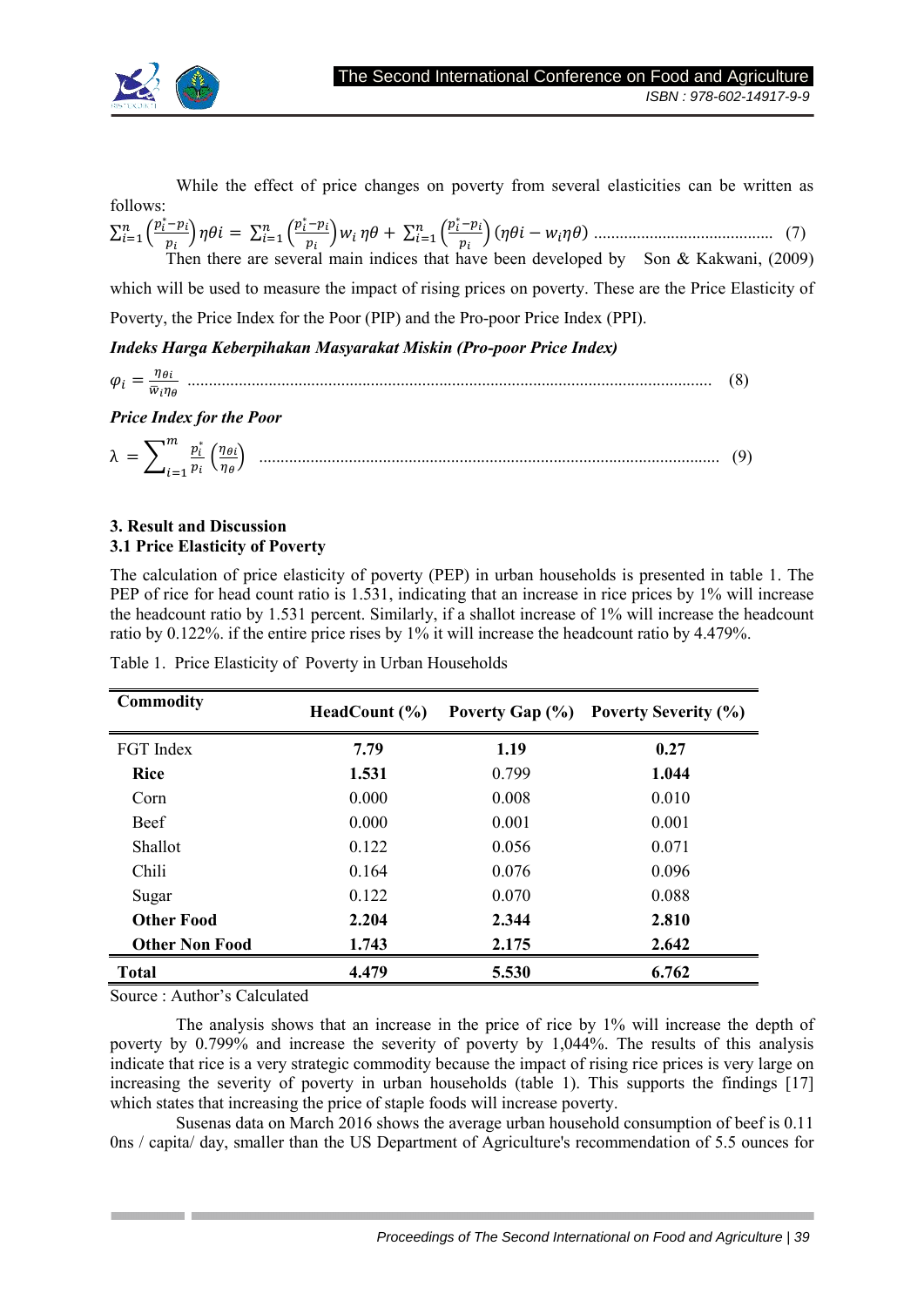

 While the effect of price changes on poverty from several elasticities can be written as follows:

 $\sum_{i=1}^n \left(\frac{p_i^*-p_i}{n}\right)$  $\sum_{i=1}^{n} \left( \frac{p_i^* - p_i}{p_i} \right) \eta \theta i = \sum_{i=1}^{n} \left( \frac{p_i^* - p_i}{p_i} \right)$  $\sum_{i=1}^{n} \left( \frac{p_i^* - p_i}{p_i} \right) w_i \eta \theta + \sum_{i=1}^{n} \left( \frac{p_i^* - p_i}{p_i} \right)$  $\sum_{i=1}^{n} \left( \frac{p_i - p_i}{p_i} \right) (\eta \theta i - w_i \eta \theta) \dots \dots \dots \dots \dots \dots \dots \dots \dots \dots \dots \dots \tag{7}$ Then there are several main indices that have been developed by Son & Kakwani, (2009) which will be used to measure the impact of rising prices on poverty. These are the Price Elasticity of Poverty, the Price Index for the Poor (PIP) and the Pro-poor Price Index (PPI).

# *Indeks Harga Keberpihakan Masyarakat Miskin (Pro-poor Price Index)*

 $\varphi_i = \frac{\eta_{\theta i}}{\overline{w}_i n}$ 0./ ........................................................................................................................... (8)

*Price Index for the Poor* 

λ = 2 ∗ ! " &./ ./ ( ............................................................................................................ (9)

### **3. Result and Discussion 3.1 Price Elasticity of Poverty**

The calculation of price elasticity of poverty (PEP) in urban households is presented in table 1. The PEP of rice for head count ratio is 1.531, indicating that an increase in rice prices by 1% will increase the headcount ratio by 1.531 percent. Similarly, if a shallot increase of 1% will increase the headcount ratio by 0.122%. if the entire price rises by 1% it will increase the headcount ratio by 4.479%.

| Commodity             | HeadCount $(\% )$ |       | Poverty Gap (%) Poverty Severity (%) |
|-----------------------|-------------------|-------|--------------------------------------|
| FGT Index             | 7.79              | 1.19  | 0.27                                 |
| <b>Rice</b>           | 1.531             | 0.799 | 1.044                                |
| Corn                  | 0.000             | 0.008 | 0.010                                |
| <b>Beef</b>           | 0.000             | 0.001 | 0.001                                |
| <b>Shallot</b>        | 0.122             | 0.056 | 0.071                                |
| Chili                 | 0.164             | 0.076 | 0.096                                |
| Sugar                 | 0.122             | 0.070 | 0.088                                |
| <b>Other Food</b>     | 2.204             | 2.344 | 2.810                                |
| <b>Other Non Food</b> | 1.743             | 2.175 | 2.642                                |
| <b>Total</b>          | 4.479             | 5.530 | 6.762                                |

Table 1. Price Elasticity of Poverty in Urban Households

Source : Author's Calculated

 The analysis shows that an increase in the price of rice by 1% will increase the depth of poverty by 0.799% and increase the severity of poverty by 1,044%. The results of this analysis indicate that rice is a very strategic commodity because the impact of rising rice prices is very large on increasing the severity of poverty in urban households (table 1). This supports the findings [17] which states that increasing the price of staple foods will increase poverty.

Susenas data on March 2016 shows the average urban household consumption of beef is 0.11 0ns / capita/ day, smaller than the US Department of Agriculture's recommendation of 5.5 ounces for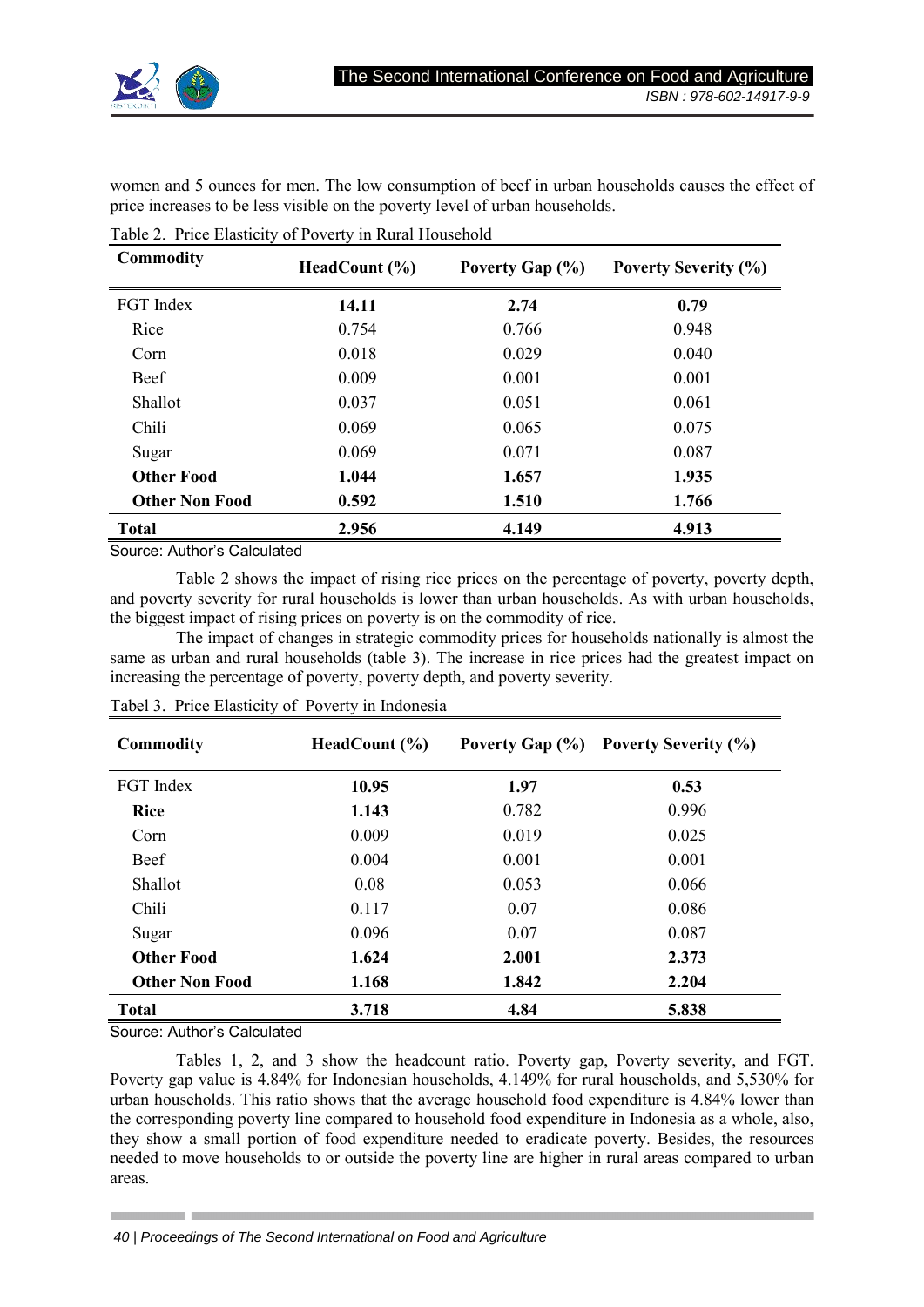

women and 5 ounces for men. The low consumption of beef in urban households causes the effect of price increases to be less visible on the poverty level of urban households.

| Commodity             | HeadCount $(\% )$ | Poverty Gap (%) | <b>Poverty Severity (%)</b> |
|-----------------------|-------------------|-----------------|-----------------------------|
| FGT Index             | 14.11             | 2.74            | 0.79                        |
| Rice                  | 0.754             | 0.766           | 0.948                       |
| Corn                  | 0.018             | 0.029           | 0.040                       |
| Beef                  | 0.009             | 0.001           | 0.001                       |
| Shallot               | 0.037             | 0.051           | 0.061                       |
| Chili                 | 0.069             | 0.065           | 0.075                       |
| Sugar                 | 0.069             | 0.071           | 0.087                       |
| <b>Other Food</b>     | 1.044             | 1.657           | 1.935                       |
| <b>Other Non Food</b> | 0.592             | 1.510           | 1.766                       |
| <b>Total</b>          | 2.956             | 4.149           | 4.913                       |

Table 2. Price Elasticity of Poverty in Rural Household

Source: Author's Calculated

Table 2 shows the impact of rising rice prices on the percentage of poverty, poverty depth, and poverty severity for rural households is lower than urban households. As with urban households, the biggest impact of rising prices on poverty is on the commodity of rice.

The impact of changes in strategic commodity prices for households nationally is almost the same as urban and rural households (table 3). The increase in rice prices had the greatest impact on increasing the percentage of poverty, poverty depth, and poverty severity.

| <b>Commodity</b>      | HeadCount $(\% )$ |       | Poverty Gap (%) Poverty Severity (%) |
|-----------------------|-------------------|-------|--------------------------------------|
| FGT Index             | 10.95             | 1.97  | 0.53                                 |
| <b>Rice</b>           | 1.143             | 0.782 | 0.996                                |
| Corn                  | 0.009             | 0.019 | 0.025                                |
| Beef                  | 0.004             | 0.001 | 0.001                                |
| <b>Shallot</b>        | 0.08              | 0.053 | 0.066                                |
| Chili                 | 0.117             | 0.07  | 0.086                                |
| Sugar                 | 0.096             | 0.07  | 0.087                                |
| <b>Other Food</b>     | 1.624             | 2.001 | 2.373                                |
| <b>Other Non Food</b> | 1.168             | 1.842 | 2.204                                |
| <b>Total</b>          | 3.718             | 4.84  | 5.838                                |

Tabel 3. Price Elasticity of Poverty in Indonesia

Source: Author's Calculated

Tables 1, 2, and 3 show the headcount ratio. Poverty gap, Poverty severity, and FGT. Poverty gap value is 4.84% for Indonesian households, 4.149% for rural households, and 5,530% for urban households. This ratio shows that the average household food expenditure is 4.84% lower than the corresponding poverty line compared to household food expenditure in Indonesia as a whole, also, they show a small portion of food expenditure needed to eradicate poverty. Besides, the resources needed to move households to or outside the poverty line are higher in rural areas compared to urban areas.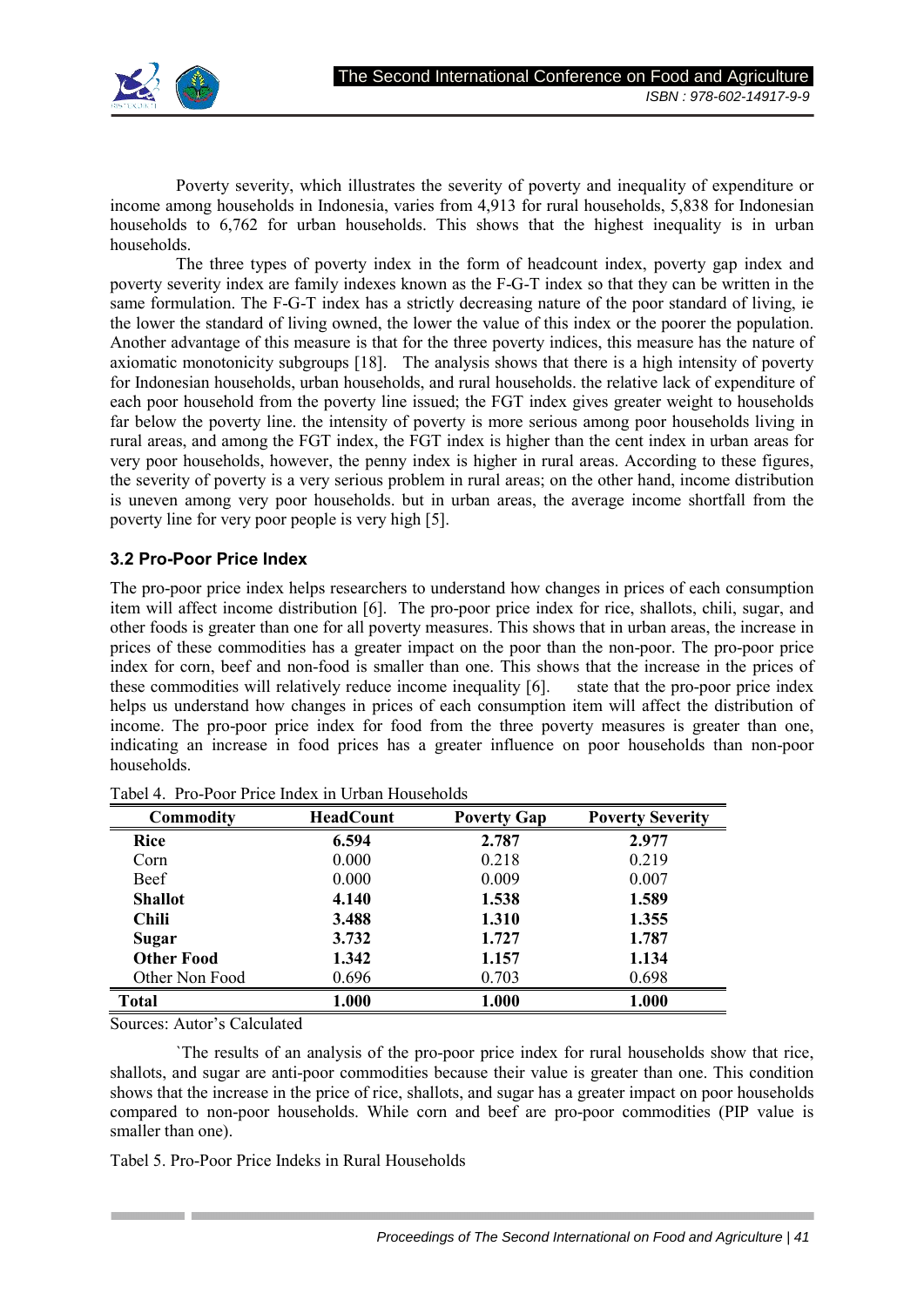

Poverty severity, which illustrates the severity of poverty and inequality of expenditure or income among households in Indonesia, varies from 4,913 for rural households, 5,838 for Indonesian households to 6,762 for urban households. This shows that the highest inequality is in urban households.

 The three types of poverty index in the form of headcount index, poverty gap index and poverty severity index are family indexes known as the F-G-T index so that they can be written in the same formulation. The F-G-T index has a strictly decreasing nature of the poor standard of living, ie the lower the standard of living owned, the lower the value of this index or the poorer the population. Another advantage of this measure is that for the three poverty indices, this measure has the nature of axiomatic monotonicity subgroups [18]. The analysis shows that there is a high intensity of poverty for Indonesian households, urban households, and rural households. the relative lack of expenditure of each poor household from the poverty line issued; the FGT index gives greater weight to households far below the poverty line. the intensity of poverty is more serious among poor households living in rural areas, and among the FGT index, the FGT index is higher than the cent index in urban areas for very poor households, however, the penny index is higher in rural areas. According to these figures, the severity of poverty is a very serious problem in rural areas; on the other hand, income distribution is uneven among very poor households. but in urban areas, the average income shortfall from the poverty line for very poor people is very high [5].

# **3.2 Pro-Poor Price Index**

The pro-poor price index helps researchers to understand how changes in prices of each consumption item will affect income distribution [6]. The pro-poor price index for rice, shallots, chili, sugar, and other foods is greater than one for all poverty measures. This shows that in urban areas, the increase in prices of these commodities has a greater impact on the poor than the non-poor. The pro-poor price index for corn, beef and non-food is smaller than one. This shows that the increase in the prices of these commodities will relatively reduce income inequality [6]. state that the pro-poor price index helps us understand how changes in prices of each consumption item will affect the distribution of income. The pro-poor price index for food from the three poverty measures is greater than one, indicating an increase in food prices has a greater influence on poor households than non-poor households.

| Commodity         | <b>HeadCount</b> | <b>Poverty Gap</b> | <b>Poverty Severity</b> |
|-------------------|------------------|--------------------|-------------------------|
| <b>Rice</b>       | 6.594            | 2.787              | 2.977                   |
| Corn              | 0.000            | 0.218              | 0.219                   |
| Beef              | 0.000            | 0.009              | 0.007                   |
| <b>Shallot</b>    | 4.140            | 1.538              | 1.589                   |
| Chili             | 3.488            | 1.310              | 1.355                   |
| Sugar             | 3.732            | 1.727              | 1.787                   |
| <b>Other Food</b> | 1.342            | 1.157              | 1.134                   |
| Other Non Food    | 0.696            | 0.703              | 0.698                   |
| <b>Total</b>      | 1.000            | 1.000              | 1.000                   |

Tabel 4. Pro-Poor Price Index in Urban Households

Sources: Autor's Calculated

`The results of an analysis of the pro-poor price index for rural households show that rice, shallots, and sugar are anti-poor commodities because their value is greater than one. This condition shows that the increase in the price of rice, shallots, and sugar has a greater impact on poor households compared to non-poor households. While corn and beef are pro-poor commodities (PIP value is smaller than one).

Tabel 5. Pro-Poor Price Indeks in Rural Households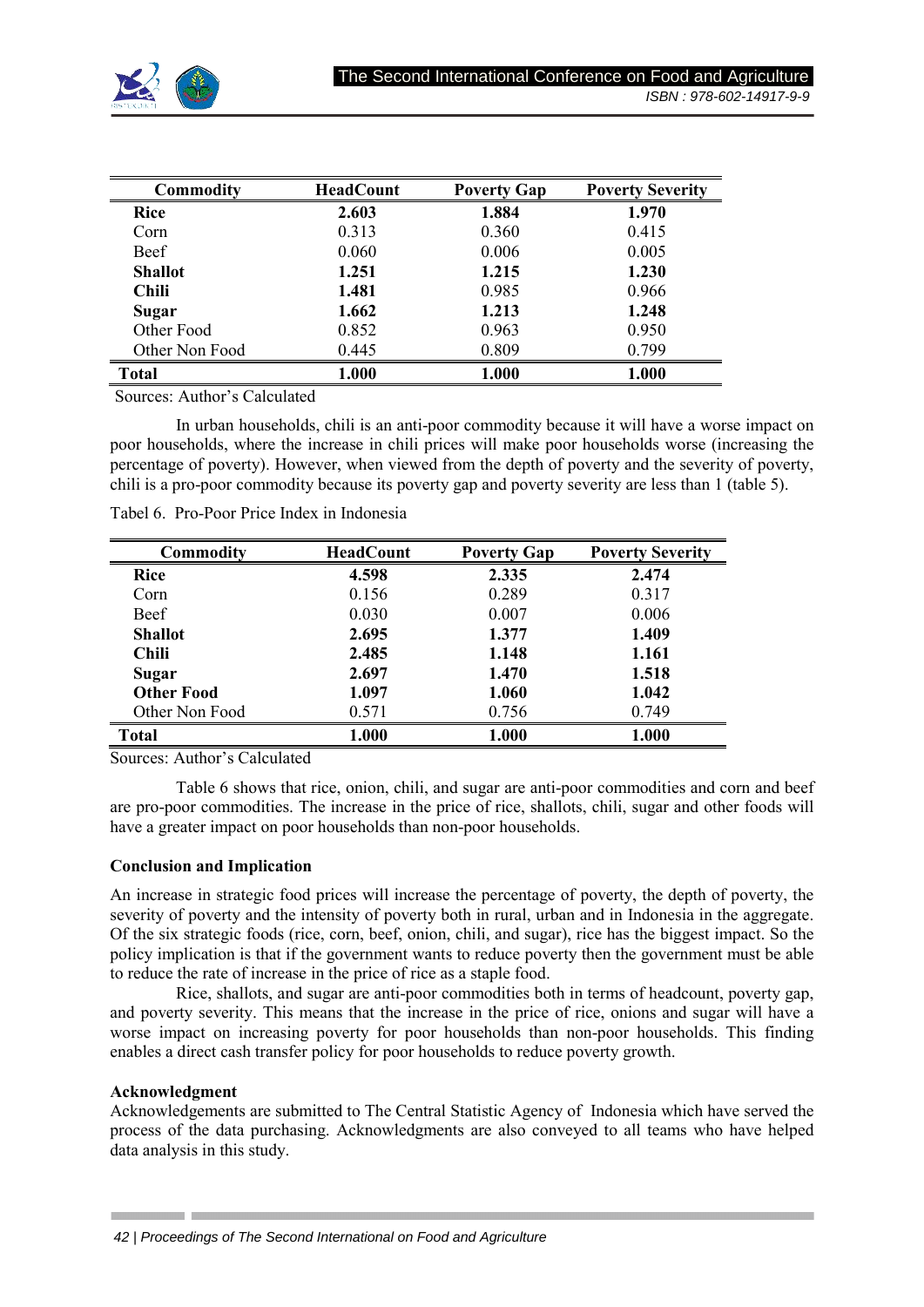

| Commodity      | <b>HeadCount</b> | <b>Poverty Gap</b> | <b>Poverty Severity</b> |
|----------------|------------------|--------------------|-------------------------|
| Rice           | 2.603            | 1.884              | 1.970                   |
| Corn           | 0.313            | 0.360              | 0.415                   |
| Beef           | 0.060            | 0.006              | 0.005                   |
| <b>Shallot</b> | 1.251            | 1.215              | 1.230                   |
| Chili          | 1.481            | 0.985              | 0.966                   |
| Sugar          | 1.662            | 1.213              | 1.248                   |
| Other Food     | 0.852            | 0.963              | 0.950                   |
| Other Non Food | 0.445            | 0.809              | 0.799                   |
| <b>Total</b>   | 1.000            | 1.000              | 1.000                   |

Sources: Author's Calculated

 In urban households, chili is an anti-poor commodity because it will have a worse impact on poor households, where the increase in chili prices will make poor households worse (increasing the percentage of poverty). However, when viewed from the depth of poverty and the severity of poverty, chili is a pro-poor commodity because its poverty gap and poverty severity are less than 1 (table 5).

| Commodity         | <b>HeadCount</b> | <b>Poverty Gap</b> | <b>Poverty Severity</b> |
|-------------------|------------------|--------------------|-------------------------|
| Rice              | 4.598            | 2.335              | 2.474                   |
| Corn              | 0.156            | 0.289              | 0.317                   |
| Beef              | 0.030            | 0.007              | 0.006                   |
| <b>Shallot</b>    | 2.695            | 1.377              | 1.409                   |
| <b>Chili</b>      | 2.485            | 1.148              | 1.161                   |
| Sugar             | 2.697            | 1.470              | 1.518                   |
| <b>Other Food</b> | 1.097            | 1.060              | 1.042                   |
| Other Non Food    | 0.571            | 0.756              | 0.749                   |
| <b>Total</b>      | 1.000            | 1.000              | 1.000                   |

Tabel 6. Pro-Poor Price Index in Indonesia

Sources: Author's Calculated

Table 6 shows that rice, onion, chili, and sugar are anti-poor commodities and corn and beef are pro-poor commodities. The increase in the price of rice, shallots, chili, sugar and other foods will have a greater impact on poor households than non-poor households.

### **Conclusion and Implication**

An increase in strategic food prices will increase the percentage of poverty, the depth of poverty, the severity of poverty and the intensity of poverty both in rural, urban and in Indonesia in the aggregate. Of the six strategic foods (rice, corn, beef, onion, chili, and sugar), rice has the biggest impact. So the policy implication is that if the government wants to reduce poverty then the government must be able to reduce the rate of increase in the price of rice as a staple food.

Rice, shallots, and sugar are anti-poor commodities both in terms of headcount, poverty gap, and poverty severity. This means that the increase in the price of rice, onions and sugar will have a worse impact on increasing poverty for poor households than non-poor households. This finding enables a direct cash transfer policy for poor households to reduce poverty growth.

### **Acknowledgment**

Acknowledgements are submitted to The Central Statistic Agency of Indonesia which have served the process of the data purchasing. Acknowledgments are also conveyed to all teams who have helped data analysis in this study.